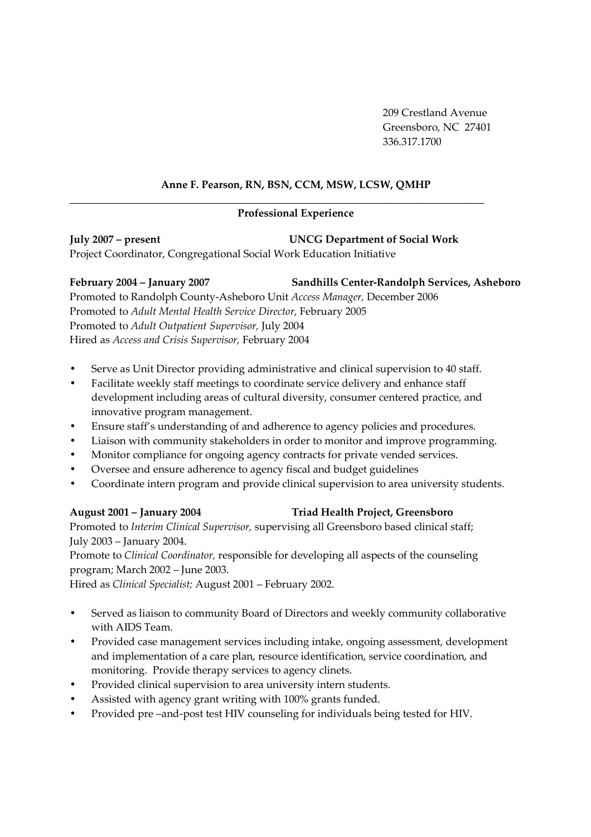209 Crestland Avenue Greensboro, NC 27401 336.317.1700

### **Anne F. Pearson, RN, BSN, CCM, MSW, LCSW, QMHP**

### **Professional Experience**

**\_\_\_\_\_\_\_\_\_\_\_\_\_\_\_\_\_\_\_\_\_\_\_\_\_\_\_\_\_\_\_\_\_\_\_\_\_\_\_\_\_\_\_\_\_\_\_\_\_\_\_\_\_\_\_\_\_\_\_\_\_\_\_\_\_\_\_\_\_\_\_\_\_\_\_\_\_\_** 

**July 2007 – present UNCG Department of Social Work**  Project Coordinator, Congregational Social Work Education Initiative

**February 2004 – January 2007 Sandhills Center-Randolph Services, Asheboro** 

Promoted to Randolph County-Asheboro Unit *Access Manager,* December 2006 Promoted to *Adult Mental Health Service Director,* February 2005 Promoted to *Adult Outpatient Supervisor,* July 2004 Hired as *Access and Crisis Supervisor,* February 2004

- Serve as Unit Director providing administrative and clinical supervision to 40 staff.
- Facilitate weekly staff meetings to coordinate service delivery and enhance staff development including areas of cultural diversity, consumer centered practice, and innovative program management.
- Ensure staff's understanding of and adherence to agency policies and procedures.
- Liaison with community stakeholders in order to monitor and improve programming.
- Monitor compliance for ongoing agency contracts for private vended services.
- Oversee and ensure adherence to agency fiscal and budget guidelines
- Coordinate intern program and provide clinical supervision to area university students.

### **August 2001 – January 2004 Triad Health Project, Greensboro**

Promoted to *Interim Clinical Supervisor,* supervising all Greensboro based clinical staff; July 2003 – January 2004.

Promote to *Clinical Coordinator,* responsible for developing all aspects of the counseling program; March 2002 – June 2003.

Hired as *Clinical Specialist;* August 2001 – February 2002.

- Served as liaison to community Board of Directors and weekly community collaborative with AIDS Team.
- Provided case management services including intake, ongoing assessment, development and implementation of a care plan, resource identification, service coordination, and monitoring. Provide therapy services to agency clinets.
- Provided clinical supervision to area university intern students.
- Assisted with agency grant writing with 100% grants funded.
- Provided pre –and-post test HIV counseling for individuals being tested for HIV.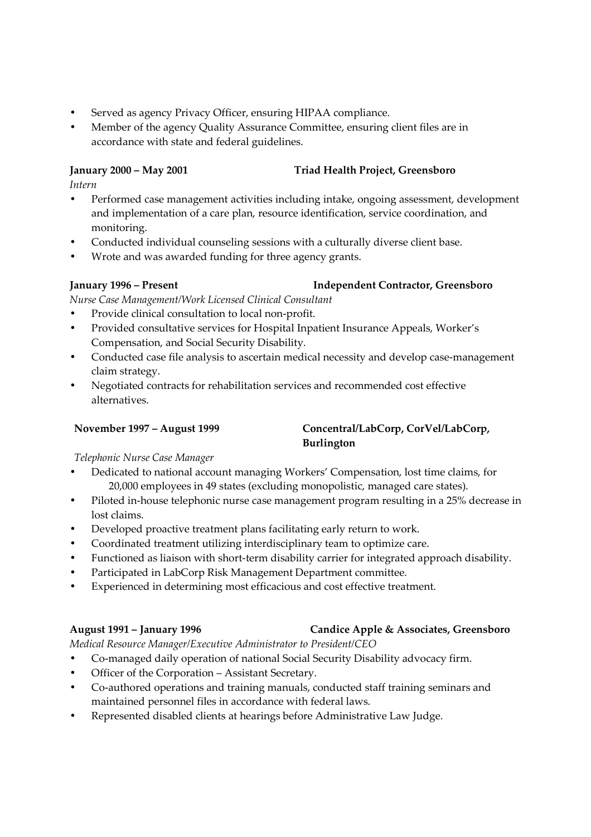- Served as agency Privacy Officer, ensuring HIPAA compliance.
- Member of the agency Quality Assurance Committee, ensuring client files are in accordance with state and federal guidelines.

### **January 2000 – May 2001 Triad Health Project, Greensboro**

*Intern* 

- Performed case management activities including intake, ongoing assessment, development and implementation of a care plan, resource identification, service coordination, and monitoring.
- Conducted individual counseling sessions with a culturally diverse client base.
- Wrote and was awarded funding for three agency grants.

### **January 1996 – Present Independent Contractor, Greensboro**

*Nurse Case Management/Work Licensed Clinical Consultant* 

- Provide clinical consultation to local non-profit.
- Provided consultative services for Hospital Inpatient Insurance Appeals, Worker's Compensation, and Social Security Disability.
- Conducted case file analysis to ascertain medical necessity and develop case-management claim strategy.
- Negotiated contracts for rehabilitation services and recommended cost effective alternatives.

### **November 1997 – August 1999 Concentral/LabCorp, CorVel/LabCorp, Burlington**

*Telephonic Nurse Case Manager*

- Dedicated to national account managing Workers' Compensation, lost time claims, for 20,000 employees in 49 states (excluding monopolistic, managed care states).
- Piloted in-house telephonic nurse case management program resulting in a 25% decrease in lost claims.
- Developed proactive treatment plans facilitating early return to work.
- Coordinated treatment utilizing interdisciplinary team to optimize care.
- Functioned as liaison with short-term disability carrier for integrated approach disability.
- Participated in LabCorp Risk Management Department committee.
- Experienced in determining most efficacious and cost effective treatment.

### **August 1991 – January 1996 Candice Apple & Associates, Greensboro**

*Medical Resource Manager/Executive Administrator to President/CEO* 

- Co-managed daily operation of national Social Security Disability advocacy firm.
- Officer of the Corporation Assistant Secretary.
- Co-authored operations and training manuals, conducted staff training seminars and maintained personnel files in accordance with federal laws.
- Represented disabled clients at hearings before Administrative Law Judge.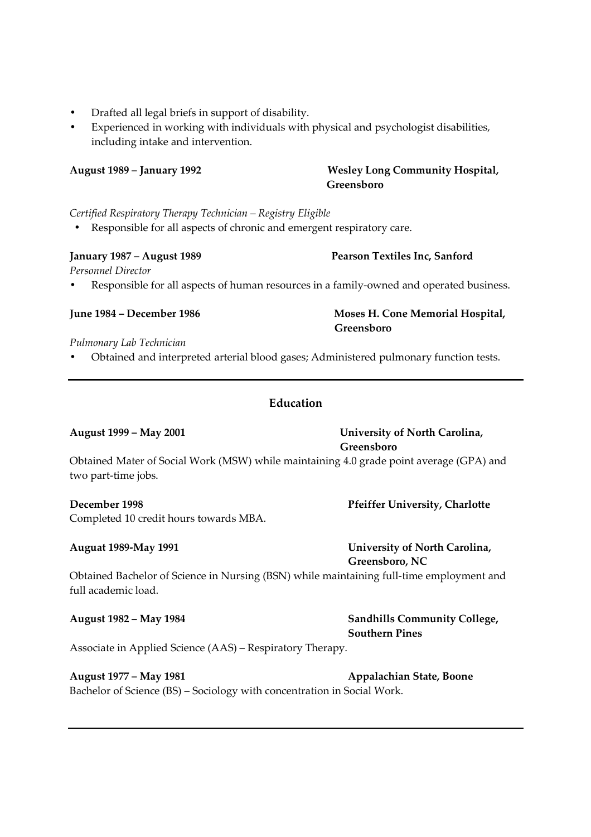- Drafted all legal briefs in support of disability.
- Experienced in working with individuals with physical and psychologist disabilities, including intake and intervention.

**August 1989 – January 1992 Wesley Long Community Hospital,** 

# *Certified Respiratory Therapy Technician – Registry Eligible*

• Responsible for all aspects of chronic and emergent respiratory care.

# **January 1987 – August 1989 Pearson Textiles Inc, Sanford**

*Personnel Director* 

• Responsible for all aspects of human resources in a family-owned and operated business.

# *Pulmonary Lab Technician*

• Obtained and interpreted arterial blood gases; Administered pulmonary function tests.

# **Education**

## **August 1999 – May 2001 University of North Carolina,**

# **Greensboro**

**Greensboro** 

Obtained Mater of Social Work (MSW) while maintaining 4.0 grade point average (GPA) and two part-time jobs.

# **December 1998 Pfeiffer University, Charlotte**

Completed 10 credit hours towards MBA.

# **Auguat 1989-May 1991 University of North Carolina,**

 **Greensboro, NC** 

Obtained Bachelor of Science in Nursing (BSN) while maintaining full-time employment and full academic load.

## **August 1982 – May 1984 Sandhills Community College,**

# **Southern Pines**

Associate in Applied Science (AAS) – Respiratory Therapy.

# **August 1977 – May 1981 Appalachian State, Boone**

Bachelor of Science (BS) – Sociology with concentration in Social Work.

**June 1984 – December 1986 Moses H. Cone Memorial Hospital, Greensboro**